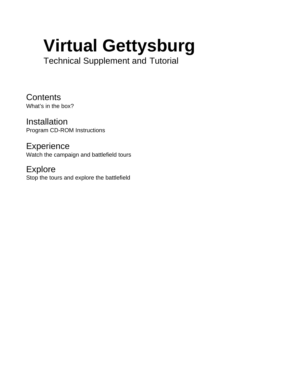# **Virtual Gettysburg**

Technical Supplement and Tutorial

**Contents** What's in the box?

Installation Program CD-ROM Instructions

**Experience** Watch the campaign and battlefield tours

Explore Stop the tours and explore the battlefield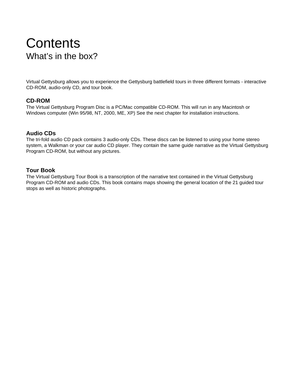# **Contents** What's in the box?

Virtual Gettysburg allows you to experience the Gettysburg battlefield tours in three different formats - interactive CD-ROM, audio-only CD, and tour book.

## **CD-ROM**

The Virtual Gettysburg Program Disc is a PC/Mac compatible CD-ROM. This will run in any Macintosh or Windows computer (Win 95/98, NT, 2000, ME, XP) See the next chapter for installation instructions.

#### **Audio CDs**

The tri-fold audio CD pack contains 3 audio-only CDs. These discs can be listened to using your home stereo system, a Walkman or your car audio CD player. They contain the same guide narrative as the Virtual Gettysburg Program CD-ROM, but without any pictures.

#### **Tour Book**

The Virtual Gettysburg Tour Book is a transcription of the narrative text contained in the Virtual Gettysburg Program CD-ROM and audio CDs. This book contains maps showing the general location of the 21 guided tour stops as well as historic photographs.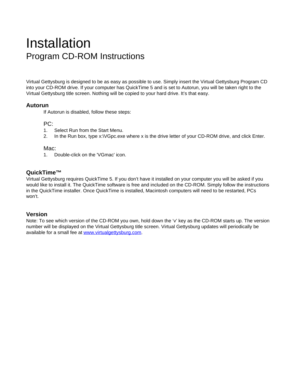# Installation Program CD-ROM Instructions

Virtual Gettysburg is designed to be as easy as possible to use. Simply insert the Virtual Gettysburg Program CD into your CD-ROM drive. If your computer has QuickTime 5 and is set to Autorun, you will be taken right to the Virtual Gettysburg title screen. Nothing will be copied to your hard drive. It's that easy.

#### **Autorun**

If Autorun is disabled, follow these steps:

#### PC:

- 1. Select Run from the Start Menu.
- 2. In the Run box, type x:\VGpc.exe where x is the drive letter of your CD-ROM drive, and click Enter.

#### Mac:

1. Double-click on the 'VGmac' icon.

## **QuickTime™**

Virtual Gettysburg requires QuickTime 5. If you don't have it installed on your computer you will be asked if you would like to install it. The QuickTime software is free and included on the CD-ROM. Simply follow the instructions in the QuickTime installer. Once QuickTime is installed, Macintosh computers will need to be restarted, PCs won't.

#### **Version**

Note: To see which version of the CD-ROM you own, hold down the 'v' key as the CD-ROM starts up. The version number will be displayed on the Virtual Gettysburg title screen. Virtual Gettysburg updates will periodically be available for a small fee at www.virtualgettysburg.com.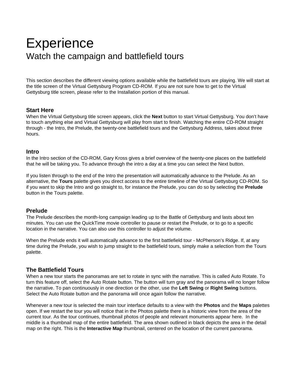# **Experience** Watch the campaign and battlefield tours

This section describes the different viewing options available while the battlefield tours are playing. We will start at the title screen of the Virtual Gettysburg Program CD-ROM. If you are not sure how to get to the Virtual Gettysburg title screen, please refer to the Installation portion of this manual.

#### **Start Here**

When the Virtual Gettysburg title screen appears, click the **Next** button to start Virtual Gettysburg. You don't have to touch anything else and Virtual Gettysburg will play from start to finish. Watching the entire CD-ROM straight through - the Intro, the Prelude, the twenty-one battlefield tours and the Gettysburg Address, takes about three hours.

#### **Intro**

In the Intro section of the CD-ROM, Gary Kross gives a brief overview of the twenty-one places on the battlefield that he will be taking you. To advance through the intro a day at a time you can select the Next button.

If you listen through to the end of the Intro the presentation will automatically advance to the Prelude. As an alternative, the **Tours** palette gives you direct access to the entire timeline of the Virtual Gettysburg CD-ROM. So if you want to skip the Intro and go straight to, for instance the Prelude, you can do so by selecting the **Prelude** button in the Tours palette.

#### **Prelude**

The Prelude describes the month-long campaign leading up to the Battle of Gettysburg and lasts about ten minutes. You can use the QuickTime movie controller to pause or restart the Prelude, or to go to a specific location in the narrative. You can also use this controller to adjust the volume.

When the Prelude ends it will automatically advance to the first battlefield tour - McPherson's Ridge. If, at any time during the Prelude, you wish to jump straight to the battlefield tours, simply make a selection from the Tours palette.

# **The Battlefield Tours**

When a new tour starts the panoramas are set to rotate in sync with the narrative. This is called Auto Rotate. To turn this feature off, select the Auto Rotate button. The button will turn gray and the panorama will no longer follow the narrative. To pan continuously in one direction or the other, use the **Left Swing** or **Right Swing** buttons. Select the Auto Rotate button and the panorama will once again follow the narrative.

Whenever a new tour is selected the main tour interface defaults to a view with the **Photos** and the **Maps** palettes open. If we restart the tour you will notice that in the Photos palette there is a historic view from the area of the current tour. As the tour continues, thumbnail photos of people and relevant monuments appear here. In the middle is a thumbnail map of the entire battlefield. The area shown outlined in black depicts the area in the detail map on the right. This is the **Interactive Map** thumbnail, centered on the location of the current panorama.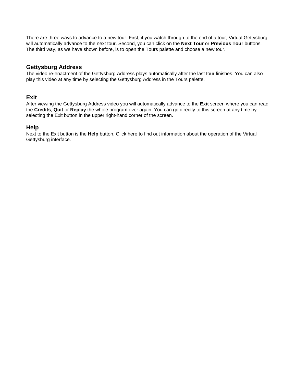There are three ways to advance to a new tour. First, if you watch through to the end of a tour, Virtual Gettysburg will automatically advance to the next tour. Second, you can click on the **Next Tour** or **Previous Tour** buttons. The third way, as we have shown before, is to open the Tours palette and choose a new tour.

# **Gettysburg Address**

The video re-enactment of the Gettysburg Address plays automatically after the last tour finishes. You can also play this video at any time by selecting the Gettysburg Address in the Tours palette.

#### **Exit**

After viewing the Gettysburg Address video you will automatically advance to the **Exit** screen where you can read the **Credits**, **Quit** or **Replay** the whole program over again. You can go directly to this screen at any time by selecting the Exit button in the upper right-hand corner of the screen.

#### **Help**

Next to the Exit button is the **Help** button. Click here to find out information about the operation of the Virtual Gettysburg interface.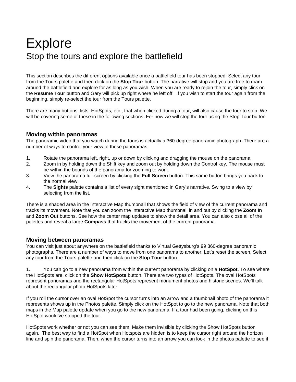# Explore Stop the tours and explore the battlefield

This section describes the different options available once a battlefield tour has been stopped. Select any tour from the Tours palette and then click on the **Stop Tour** button. The narrative will stop and you are free to roam around the battlefield and explore for as long as you wish. When you are ready to rejoin the tour, simply click on the **Resume Tour** button and Gary will pick up right where he left off. If you wish to start the tour again from the beginning, simply re-select the tour from the Tours palette.

There are many buttons, lists, HotSpots, etc., that when clicked during a tour, will also cause the tour to stop. We will be covering some of these in the following sections. For now we will stop the tour using the Stop Tour button.

#### **Moving within panoramas**

The panoramic video that you watch during the tours is actually a 360-degree panoramic photograph. There are a number of ways to control your view of these panoramas.

- 1. Rotate the panorama left, right, up or down by clicking and dragging the mouse on the panorama.
- 2. Zoom in by holding down the Shift key and zoom out by holding down the Control key. The mouse must be within the bounds of the panorama for zooming to work.
- 3. View the panorama full-screen by clicking the **Full Screen** button. This same button brings you back to the normal view.
- 4. The **Sights** palette contains a list of every sight mentioned in Gary's narrative. Swing to a view by selecting from the list.

There is a shaded area in the Interactive Map thumbnail that shows the field of view of the current panorama and tracks its movement. Note that you can zoom the Interactive Map thumbnail in and out by clicking the **Zoom In** and **Zoom Out** buttons. See how the center map updates to show the detail area. You can also close all of the palettes and reveal a large **Compass** that tracks the movement of the current panorama.

#### **Moving between panoramas**

You can visit just about anywhere on the battlefield thanks to Virtual Gettysburg's 99 360-degree panoramic photographs. There are a number of ways to move from one panorama to another. Let's reset the screen. Select any tour from the Tours palette and then click on the **Stop Tour** button.

1. You can go to a new panorama from within the current panorama by clicking on a **HotSpot**. To see where the HotSpots are, click on the **Show HotSpots** button. There are two types of HotSpots. The oval HotSpots represent panoramas and the rectangular HotSpots represent monument photos and historic scenes. We'll talk about the rectangular photo HotSpots later.

If you roll the cursor over an oval HotSpot the cursor turns into an arrow and a thumbnail photo of the panorama it represents shows up in the Photos palette. Simply click on the HotSpot to go to the new panorama. Note that both maps in the Map palette update when you go to the new panorama. If a tour had been going, clicking on this HotSpot would've stopped the tour.

HotSpots work whether or not you can see them. Make them invisible by clicking the Show HotSpots button again. The best way to find a HotSpot when Hotspots are hidden is to keep the cursor right around the horizon line and spin the panorama. Then, when the cursor turns into an arrow you can look in the photos palette to see if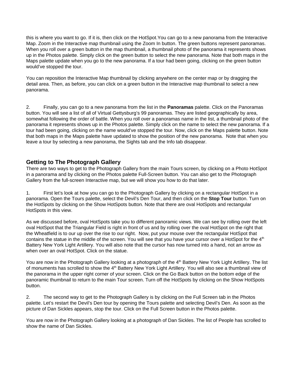this is where you want to go. If it is, then click on the HotSpot.You can go to a new panorama from the Interactive Map. Zoom in the Interactive map thumbnail using the Zoom In button. The green buttons represent panoramas. When you roll over a green button in the map thumbnail, a thumbnail photo of the panorama it represents shows up in the Photos palette. Simply click on the green button to select the new panorama. Note that both maps in the Maps palette update when you go to the new panorama. If a tour had been going, clicking on the green button would've stopped the tour.

You can reposition the Interactive Map thumbnail by clicking anywhere on the center map or by dragging the detail area. Then, as before, you can click on a green button in the Interactive map thumbnail to select a new panorama.

2. Finally, you can go to a new panorama from the list in the **Panoramas** palette. Click on the Panoramas button. You will see a list of all of Virtual Gettysburg's 99 panoramas. They are listed geographically by area, somewhat following the order of battle. When you roll over a panoramas name in the list, a thumbnail photo of the panorama it represents shows up in the Photos palette. Simply click on the name to select the new panorama. If a tour had been going, clicking on the name would've stopped the tour. Now, click on the Maps palette button. Note that both maps in the Maps palette have updated to show the position of the new panorama. Note that when you leave a tour by selecting a new panorama, the Sights tab and the Info tab disappear.

# **Getting to The Photograph Gallery**

There are two ways to get to the Photograph Gallery from the main Tours screen, by clicking on a Photo HotSpot in a panorama and by clicking on the Photos palette Full-Screen button. You can also get to the Photograph Gallery from the full-screen Interactive map, but we will show you how to do that later.

1. First let's look at how you can go to the Photograph Gallery by clicking on a rectangular HotSpot in a panorama. Open the Tours palette, select the Devil's Den Tour, and then click on the **Stop Tour** button. Turn on the HotSpots by clicking on the Show HotSpots button. Note that there are oval HotSpots and rectangular HotSpots in this view.

As we discussed before, oval HotSpots take you to different panoramic views. We can see by rolling over the left oval HotSpot that the Triangular Field is right in front of us and by rolling over the oval HotSpot on the right that the Wheatfield is to our up over the rise to our right. Now, put your mouse over the rectangular HotSpot that contains the statue in the middle of the screen. You will see that you have your cursor over a HotSpot for the 4<sup>th</sup> Battery New York Light Artillery. You will also note that the cursor has now turned into a hand, not an arrow as when over an oval HotSpot. Click on the statue.

You are now in the Photograph Gallery looking at a photograph of the 4<sup>th</sup> Battery New York Light Artillery. The list of monuments has scrolled to show the 4<sup>th</sup> Battery New York Light Artillery. You will also see a thumbnail view of the panorama in the upper right corner of your screen. Click on the Go Back button on the bottom edge of the panoramic thumbnail to return to the main Tour screen. Turn off the HotSpots by clicking on the Show HotSpots button.

2. The second way to get to the Photograph Gallery is by clicking on the Full Screen tab in the Photos palette. Let's restart the Devil's Den tour by opening the Tours palette and selecting Devil's Den. As soon as the picture of Dan Sickles appears, stop the tour. Click on the Full Screen button in the Photos palette.

You are now in the Photograph Gallery looking at a photograph of Dan Sickles. The list of People has scrolled to show the name of Dan Sickles.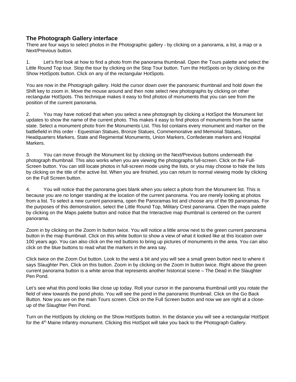## **The Photograph Gallery interface**

There are four ways to select photos in the Photographic gallery - by clicking on a panorama, a list, a map or a Next/Previous button.

1. Let's first look at how to find a photo from the panorama thumbnail. Open the Tours palette and select the Little Round Top tour. Stop the tour by clicking on the Stop Tour button. Turn the HotSpots on by clicking on the Show HotSpots button. Click on any of the rectangular HotSpots.

You are now in the Photograph gallery. Hold the cursor down over the panoramic thumbnail and hold down the Shift key to zoom in. Move the mouse around and then note select new photographs by clicking on other rectangular HotSpots. This technique makes it easy to find photos of monuments that you can see from the position of the current panorama.

2. You may have noticed that when you select a new photograph by clicking a HotSpot the Monument list updates to show the name of the current photo. This makes it easy to find photos of monuments from the same state. Select a monument photo from the Monuments List. This list contains every monument and marker on the battlefield in this order - Equestrian Statues, Bronze Statues, Commemorative and Memorial Statues, Headquarters Markers, State and Regimental Monuments, Union Markers, Confederate markers and Hospital Markers.

3. You can move through the Monument list by clicking on the Next/Previous buttons underneath the photograph thumbnail. This also works when you are viewing the photographs full-screen. Click on the Full-Screen button. You can still locate photos in full-screen mode using the lists, or you may choose to hide the lists by clicking on the title of the active list. When you are finished, you can return to normal viewing mode by clicking on the Full Screen button.

4. You will notice that the panorama goes blank when you select a photo from the Monument list. This is because you are no longer standing at the location of the current panorama. You are merely looking at photos from a list. To select a new current panorama, open the Panoramas list and choose any of the 99 panoramas. For the purposes of this demonstration, select the Little Round Top, Military Crest panorama. Open the maps palette by clicking on the Maps palette button and notice that the Interactive map thumbnail is centered on the current panorama.

Zoom in by clicking on the Zoom In button twice. You will notice a little arrow next to the green current panorama button in the map thumbnail. Click on this white button to show a view of what it looked like at this location over 100 years ago. You can also click on the red buttons to bring up pictures of monuments in the area. You can also click on the blue buttons to read what the markers in the area say.

Click twice on the Zoom Out button. Look to the west a bit and you will see a small green button next to where it says Slaughter Pen. Click on this button. Zoom in by clicking on the Zoom In button twice. Right above the green current panorama button is a white arrow that represents another historical scene – The Dead in the Slaughter Pen Pond.

Let's see what this pond looks like close up today. Roll your cursor in the panorama thumbnail until you rotate the field of view towards the pond photo. You will see the pond in the panoramic thumbnail. Click on the Go Back Button. Now you are on the main Tours screen. Click on the Full Screen button and now we are right at a closeup of the Slaughter Pen Pond.

Turn on the HotSpots by clicking on the Show HotSpots button. In the distance you will see a rectangular HotSpot for the  $4<sup>th</sup>$  Maine Infantry monument. Clicking this HotSpot will take you back to the Photograph Gallery.